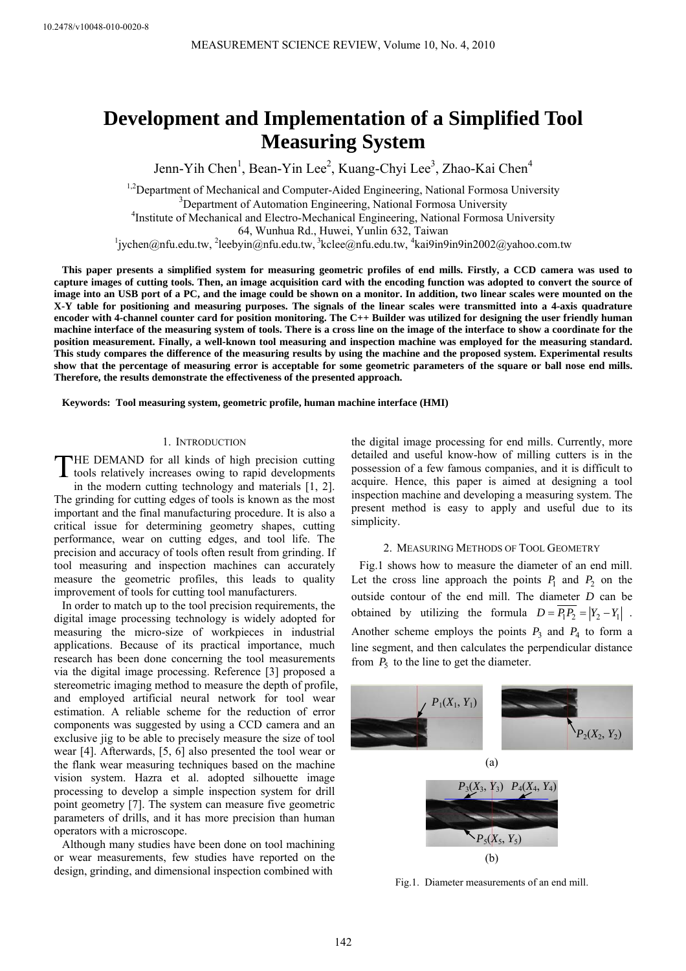# **Development and Implementation of a Simplified Tool Measuring System**

Jenn-Yih Chen<sup>1</sup>, Bean-Yin Lee<sup>2</sup>, Kuang-Chyi Lee<sup>3</sup>, Zhao-Kai Chen<sup>4</sup>

<sup>1,2</sup>Department of Mechanical and Computer-Aided Engineering, National Formosa University <sup>3</sup> Department of Automation Engineering, National Formosa University<br><sup>4</sup>Institute of Machanical and Electro Machanical Engineering, National Formosa I <sup>4</sup>Institute of Mechanical and Electro-Mechanical Engineering, National Formosa University

64, Wunhua Rd., Huwei, Yunlin 632, Taiwan 1

 $jychen@nfu.edu.tw, <sup>2</sup>lebyin@nfu.edu.tw, <sup>3</sup>kelee@nfu.edu.tw, <sup>4</sup>kai9in9in9in2002@yahoo.com.tw$ 

**This paper presents a simplified system for measuring geometric profiles of end mills. Firstly, a CCD camera was used to capture images of cutting tools. Then, an image acquisition card with the encoding function was adopted to convert the source of image into an USB port of a PC, and the image could be shown on a monitor. In addition, two linear scales were mounted on the X-Y table for positioning and measuring purposes. The signals of the linear scales were transmitted into a 4-axis quadrature encoder with 4-channel counter card for position monitoring. The C++ Builder was utilized for designing the user friendly human machine interface of the measuring system of tools. There is a cross line on the image of the interface to show a coordinate for the position measurement. Finally, a well-known tool measuring and inspection machine was employed for the measuring standard. This study compares the difference of the measuring results by using the machine and the proposed system. Experimental results show that the percentage of measuring error is acceptable for some geometric parameters of the square or ball nose end mills. Therefore, the results demonstrate the effectiveness of the presented approach.** 

**Keywords: Tool measuring system, geometric profile, human machine interface (HMI)** 

#### 1. INTRODUCTION

HE DEMAND for all kinds of high precision cutting THE DEMAND for all kinds of high precision cutting<br>tools relatively increases owing to rapid developments in the modern cutting technology and materials [1, 2].

The grinding for cutting edges of tools is known as the most important and the final manufacturing procedure. It is also a critical issue for determining geometry shapes, cutting performance, wear on cutting edges, and tool life. The precision and accuracy of tools often result from grinding. If tool measuring and inspection machines can accurately measure the geometric profiles, this leads to quality improvement of tools for cutting tool manufacturers.

In order to match up to the tool precision requirements, the digital image processing technology is widely adopted for measuring the micro-size of workpieces in industrial applications. Because of its practical importance, much research has been done concerning the tool measurements via the digital image processing. Reference [3] proposed a stereometric imaging method to measure the depth of profile, and employed artificial neural network for tool wear estimation. A reliable scheme for the reduction of error components was suggested by using a CCD camera and an exclusive jig to be able to precisely measure the size of tool wear [4]. Afterwards, [5, 6] also presented the tool wear or the flank wear measuring techniques based on the machine vision system. Hazra et al. adopted silhouette image processing to develop a simple inspection system for drill point geometry [7]. The system can measure five geometric parameters of drills, and it has more precision than human operators with a microscope.

Although many studies have been done on tool machining or wear measurements, few studies have reported on the design, grinding, and dimensional inspection combined with

the digital image processing for end mills. Currently, more detailed and useful know-how of milling cutters is in the possession of a few famous companies, and it is difficult to acquire. Hence, this paper is aimed at designing a tool inspection machine and developing a measuring system. The present method is easy to apply and useful due to its simplicity.

#### 2. MEASURING METHODS OF TOOL GEOMETRY

Fig.1 shows how to measure the diameter of an end mill. Let the cross line approach the points  $P_1$  and  $P_2$  on the outside contour of the end mill. The diameter *D* can be obtained by utilizing the formula  $D = \overline{P_1 P_2} = |Y_2 - Y_1|$ . Another scheme employs the points  $P_3$  and  $P_4$  to form a line segment, and then calculates the perpendicular distance from  $P_5$  to the line to get the diameter.



Fig.1. Diameter measurements of an end mill.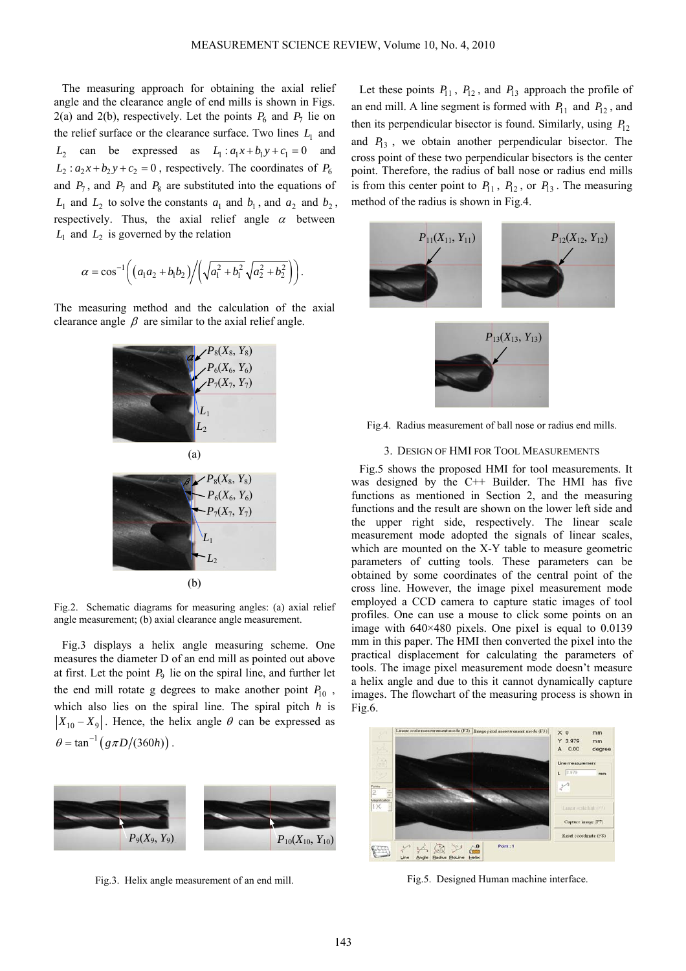The measuring approach for obtaining the axial relief angle and the clearance angle of end mills is shown in Figs. 2(a) and 2(b), respectively. Let the points  $P_6$  and  $P_7$  lie on the relief surface or the clearance surface. Two lines  $L<sub>1</sub>$  and  $L_2$  can be expressed as  $L_1: a_1x + b_1y + c_1 = 0$  and  $L_2$ :  $a_2x + b_2y + c_2 = 0$ , respectively. The coordinates of  $P_6$ and  $P_7$ , and  $P_8$  are substituted into the equations of  $L_1$  and  $L_2$  to solve the constants  $a_1$  and  $b_1$ , and  $a_2$  and  $b_2$ , respectively. Thus, the axial relief angle  $\alpha$  between  $L_1$  and  $L_2$  is governed by the relation

$$
\alpha = \cos^{-1}\left(\left(a_1a_2 + b_1b_2\right)\middle/\left(\sqrt{a_1^2 + b_1^2}\sqrt{a_2^2 + b_2^2}\right)\right).
$$

The measuring method and the calculation of the axial clearance angle  $\beta$  are similar to the axial relief angle.



Fig.2. Schematic diagrams for measuring angles: (a) axial relief angle measurement; (b) axial clearance angle measurement.

Fig.3 displays a helix angle measuring scheme. One measures the diameter D of an end mill as pointed out above at first. Let the point  $P_9$  lie on the spiral line, and further let the end mill rotate g degrees to make another point  $P_{10}$ , which also lies on the spiral line. The spiral pitch *h* is  $|X_{10} - X_9|$ . Hence, the helix angle  $\theta$  can be expressed as  $\theta = \tan^{-1} (g \pi D / (360 h))$ .



Fig.3. Helix angle measurement of an end mill.

Let these points  $P_{11}$ ,  $P_{12}$ , and  $P_{13}$  approach the profile of an end mill. A line segment is formed with  $P_{11}$  and  $P_{12}$ , and then its perpendicular bisector is found. Similarly, using  $P_{12}$ and  $P_{13}$ , we obtain another perpendicular bisector. The cross point of these two perpendicular bisectors is the center point. Therefore, the radius of ball nose or radius end mills is from this center point to  $P_{11}$ ,  $P_{12}$ , or  $P_{13}$ . The measuring method of the radius is shown in Fig.4.



Fig.4. Radius measurement of ball nose or radius end mills.

### 3. DESIGN OF HMI FOR TOOL MEASUREMENTS

Fig.5 shows the proposed HMI for tool measurements. It was designed by the C++ Builder. The HMI has five functions as mentioned in Section 2, and the measuring functions and the result are shown on the lower left side and the upper right side, respectively. The linear scale measurement mode adopted the signals of linear scales, which are mounted on the X-Y table to measure geometric parameters of cutting tools. These parameters can be obtained by some coordinates of the central point of the cross line. However, the image pixel measurement mode employed a CCD camera to capture static images of tool profiles. One can use a mouse to click some points on an image with 640×480 pixels. One pixel is equal to 0.0139 mm in this paper. The HMI then converted the pixel into the practical displacement for calculating the parameters of tools. The image pixel measurement mode doesn't measure a helix angle and due to this it cannot dynamically capture images. The flowchart of the measuring process is shown in Fig.6.



Fig.5. Designed Human machine interface.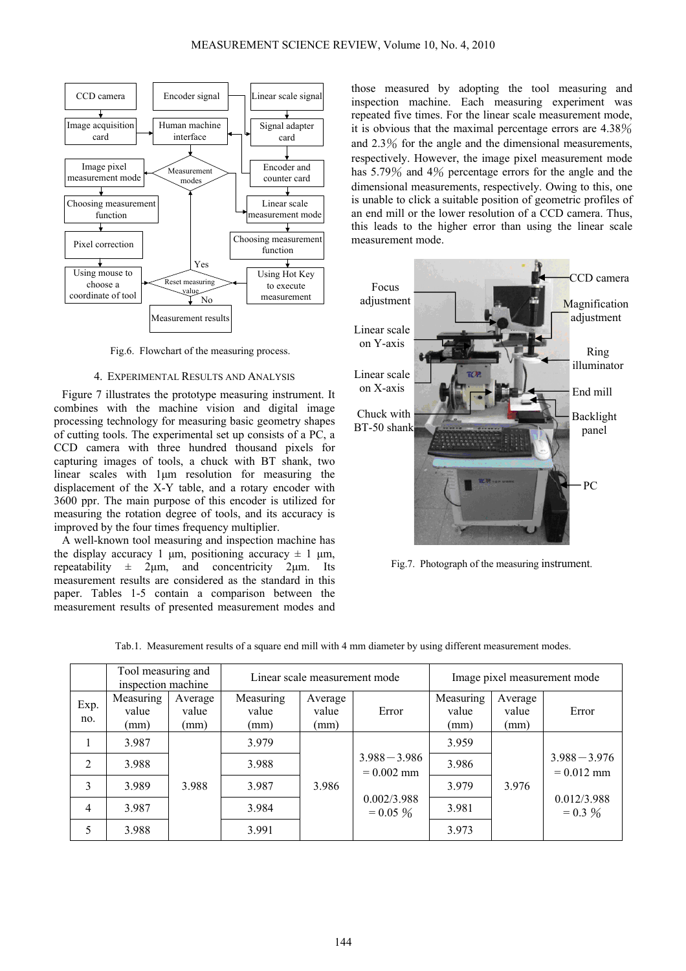

Fig.6. Flowchart of the measuring process.

## 4. EXPERIMENTAL RESULTS AND ANALYSIS

Figure 7 illustrates the prototype measuring instrument. It combines with the machine vision and digital image processing technology for measuring basic geometry shapes of cutting tools. The experimental set up consists of a PC, a CCD camera with three hundred thousand pixels for capturing images of tools, a chuck with BT shank, two linear scales with 1μm resolution for measuring the displacement of the X-Y table, and a rotary encoder with 3600 ppr. The main purpose of this encoder is utilized for measuring the rotation degree of tools, and its accuracy is improved by the four times frequency multiplier.

A well-known tool measuring and inspection machine has the display accuracy 1 μm, positioning accuracy  $\pm$  1 μm, repeatability  $\pm$  2μm, and concentricity 2μm. Its measurement results are considered as the standard in this paper. Tables 1-5 contain a comparison between the measurement results of presented measurement modes and

those measured by adopting the tool measuring and inspection machine. Each measuring experiment was repeated five times. For the linear scale measurement mode, it is obvious that the maximal percentage errors are 4.38% and 2.3% for the angle and the dimensional measurements, respectively. However, the image pixel measurement mode has 5.79% and 4% percentage errors for the angle and the dimensional measurements, respectively. Owing to this, one is unable to click a suitable position of geometric profiles of an end mill or the lower resolution of a CCD camera. Thus, this leads to the higher error than using the linear scale measurement mode.



Fig.7. Photograph of the measuring instrument.

|  |  | Tab.1. Measurement results of a square end mill with 4 mm diameter by using different measurement modes. |
|--|--|----------------------------------------------------------------------------------------------------------|
|  |  |                                                                                                          |

|                | Tool measuring and<br>inspection machine |                          | Linear scale measurement mode |                          |                                                               | Image pixel measurement mode |                          |                                                              |
|----------------|------------------------------------------|--------------------------|-------------------------------|--------------------------|---------------------------------------------------------------|------------------------------|--------------------------|--------------------------------------------------------------|
| Exp.<br>no.    | Measuring<br>value<br>(mm)               | Average<br>value<br>(mm) | Measuring<br>value<br>(mm)    | Average<br>value<br>(mm) | Error                                                         | Measuring<br>value<br>(mm)   | Average<br>value<br>(mm) | Error                                                        |
|                | 3.987                                    |                          | 3.979                         | 3.986                    | $3.988 - 3.986$<br>$= 0.002$ mm<br>0.002/3.988<br>$= 0.05 \%$ | 3.959                        | 3.976                    | $3.988 - 3.976$<br>$= 0.012$ mm<br>0.012/3.988<br>$= 0.3 \%$ |
| $\overline{2}$ | 3.988                                    |                          | 3.988                         |                          |                                                               | 3.986                        |                          |                                                              |
| 3              | 3.989                                    | 3.988                    | 3.987                         |                          |                                                               | 3.979                        |                          |                                                              |
| $\overline{4}$ | 3.987                                    |                          | 3.984                         |                          |                                                               | 3.981                        |                          |                                                              |
| 5              | 3.988                                    |                          | 3.991                         |                          |                                                               | 3.973                        |                          |                                                              |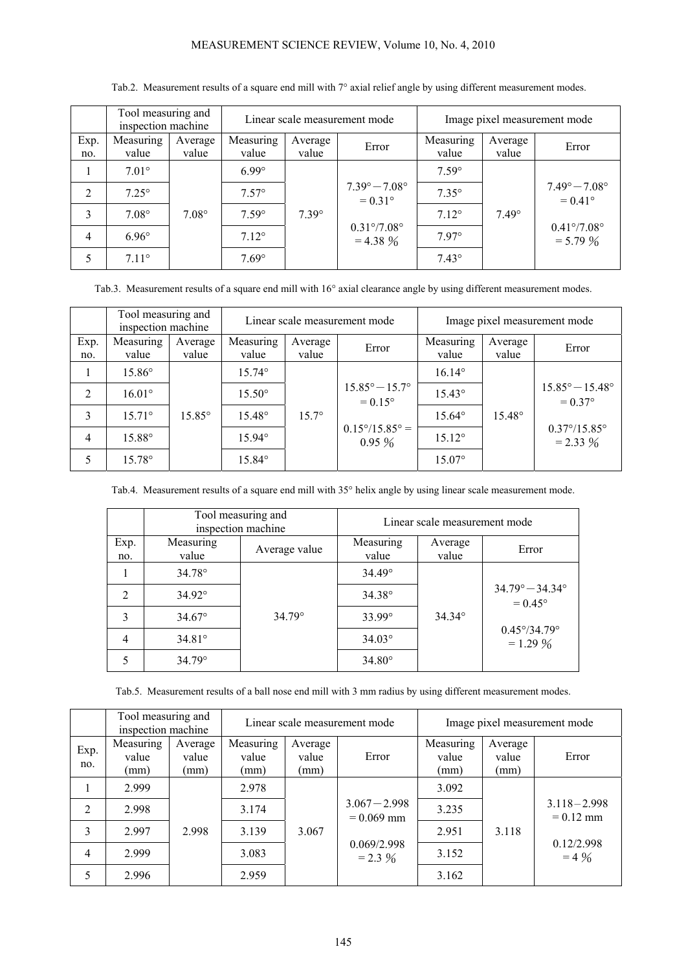# MEASUREMENT SCIENCE REVIEW, Volume 10, No. 4, 2010

|                | Tool measuring and<br>inspection machine |                  | Linear scale measurement mode |                  |                                                                                               | Image pixel measurement mode |                  |                                                                                               |
|----------------|------------------------------------------|------------------|-------------------------------|------------------|-----------------------------------------------------------------------------------------------|------------------------------|------------------|-----------------------------------------------------------------------------------------------|
| Exp.<br>no.    | Measuring<br>value                       | Average<br>value | Measuring<br>value            | Average<br>value | Error                                                                                         | Measuring<br>value           | Average<br>value | Error                                                                                         |
|                | $7.01^{\circ}$                           |                  | $6.99^\circ$                  |                  |                                                                                               | $7.59^\circ$                 |                  |                                                                                               |
| $\overline{2}$ | $7.25^\circ$                             | $7.08^{\circ}$   | $7.57^{\circ}$                | $7.39^\circ$     | $7.39^{\circ} - 7.08^{\circ}$<br>$= 0.31^{\circ}$<br>$0.31\degree/7.08\degree$<br>$= 4.38 \%$ | $7.35^\circ$                 | $7.49^\circ$     | $7.49^{\circ} - 7.08^{\circ}$<br>$= 0.41^{\circ}$<br>$0.41\degree/7.08\degree$<br>$= 5.79 \%$ |
| 3              | $7.08^{\circ}$                           |                  | $7.59^\circ$                  |                  |                                                                                               | $7.12^{\circ}$               |                  |                                                                                               |
| $\overline{4}$ | $6.96^\circ$                             |                  | $7.12^{\circ}$                |                  |                                                                                               | $7.97^\circ$                 |                  |                                                                                               |
| 5              | $7.11^{\circ}$                           |                  | $7.69^\circ$                  |                  |                                                                                               | $7.43^{\circ}$               |                  |                                                                                               |

## Tab.2. Measurement results of a square end mill with 7° axial relief angle by using different measurement modes.

Tab.3. Measurement results of a square end mill with 16° axial clearance angle by using different measurement modes.

|                | Tool measuring and<br>inspection machine |                  | Linear scale measurement mode |                  |                                                    | Image pixel measurement mode |                  |                                                     |
|----------------|------------------------------------------|------------------|-------------------------------|------------------|----------------------------------------------------|------------------------------|------------------|-----------------------------------------------------|
| Exp.<br>no.    | Measuring<br>value                       | Average<br>value | Measuring<br>value            | Average<br>value | Error                                              | Measuring<br>value           | Average<br>value | Error                                               |
|                | 15.86°                                   |                  | $15.74^{\circ}$               |                  |                                                    | $16.14^{\circ}$              |                  |                                                     |
| 2              | $16.01^{\circ}$                          |                  | $15.50^{\circ}$               |                  | $15.85^{\circ} - 15.7^{\circ}$<br>$= 0.15^{\circ}$ | $15.43^{\circ}$              |                  | $15.85^{\circ} - 15.48^{\circ}$<br>$= 0.37^{\circ}$ |
| 3              | $15.71^{\circ}$                          | $15.85^\circ$    | 15.48°                        | $15.7^{\circ}$   |                                                    | $15.64^{\circ}$              | $15.48^{\circ}$  |                                                     |
| $\overline{4}$ | 15.88°                                   |                  | $15.94^{\circ}$               |                  | $0.15^{\circ}/15.85^{\circ} =$<br>$0.95\%$         | $15.12^{\circ}$              |                  | $0.37^{\circ}/15.85^{\circ}$<br>$= 2.33 \%$         |
| 5              | $15.78^{\circ}$                          |                  | $15.84^\circ$                 |                  |                                                    | $15.07^{\circ}$              |                  |                                                     |

Tab.4. Measurement results of a square end mill with 35° helix angle by using linear scale measurement mode.

|                |                    | Tool measuring and<br>inspection machine | Linear scale measurement mode |                  |                                                                                                    |  |
|----------------|--------------------|------------------------------------------|-------------------------------|------------------|----------------------------------------------------------------------------------------------------|--|
| Exp.<br>no.    | Measuring<br>value | Average value                            | Measuring<br>value            | Average<br>value | Error                                                                                              |  |
|                | $34.78^{\circ}$    |                                          | $34.49^{\circ}$               |                  | $34.79^{\circ} - 34.34^{\circ}$<br>$= 0.45^{\circ}$<br>$0.45^{\circ}/34.79^{\circ}$<br>$= 1.29 \%$ |  |
| $\mathfrak{D}$ | $34.92^{\circ}$    |                                          | $34.38^{\circ}$               | $34.34^{\circ}$  |                                                                                                    |  |
| 3              | $34.67^{\circ}$    | $34.79^{\circ}$                          | $33.99^{\circ}$               |                  |                                                                                                    |  |
| $\overline{4}$ | $34.81^{\circ}$    |                                          | $34.03^{\circ}$               |                  |                                                                                                    |  |
|                | $34.79^{\circ}$    |                                          | $34.80^{\circ}$               |                  |                                                                                                    |  |

Tab.5. Measurement results of a ball nose end mill with 3 mm radius by using different measurement modes.

|                | Tool measuring and<br>inspection machine |                          | Linear scale measurement mode |                          |                                                              | Image pixel measurement mode |                          |                                                         |
|----------------|------------------------------------------|--------------------------|-------------------------------|--------------------------|--------------------------------------------------------------|------------------------------|--------------------------|---------------------------------------------------------|
| Exp.<br>no.    | Measuring<br>value<br>(mm)               | Average<br>value<br>(mm) | Measuring<br>value<br>(mm)    | Average<br>value<br>(mm) | Error                                                        | Measuring<br>value<br>(mm)   | Average<br>value<br>(mm) | Error                                                   |
|                | 2.999                                    | 2.998                    | 2.978                         | 3.067                    | $3.067 - 2.998$<br>$= 0.069$ mm<br>0.069/2.998<br>$= 2.3 \%$ | 3.092                        | 3.118                    | $3.118 - 2.998$<br>$= 0.12$ mm<br>0.12/2.998<br>$= 4\%$ |
| $\overline{2}$ | 2.998                                    |                          | 3.174                         |                          |                                                              | 3.235                        |                          |                                                         |
| 3              | 2.997                                    |                          | 3.139                         |                          |                                                              | 2.951                        |                          |                                                         |
| 4              | 2.999                                    |                          | 3.083                         |                          |                                                              | 3.152                        |                          |                                                         |
| 5              | 2.996                                    |                          | 2.959                         |                          |                                                              | 3.162                        |                          |                                                         |